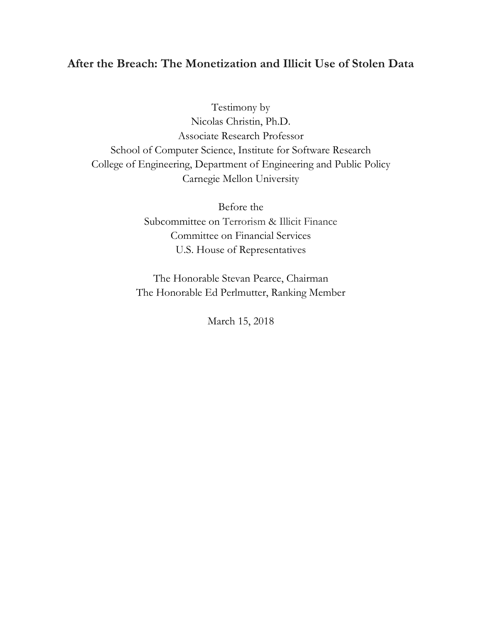# **After the Breach: The Monetization and Illicit Use of Stolen Data**

Testimony by Nicolas Christin, Ph.D. Associate Research Professor School of Computer Science, Institute for Software Research College of Engineering, Department of Engineering and Public Policy Carnegie Mellon University

> Before the Subcommittee on Terrorism & Illicit Finance Committee on Financial Services U.S. House of Representatives

The Honorable Stevan Pearce, Chairman The Honorable Ed Perlmutter, Ranking Member

March 15, 2018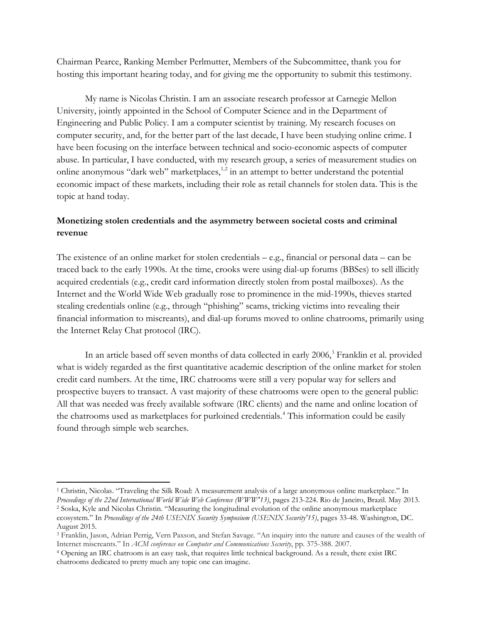Chairman Pearce, Ranking Member Perlmutter, Members of the Subcommittee, thank you for hosting this important hearing today, and for giving me the opportunity to submit this testimony.

My name is Nicolas Christin. I am an associate research professor at Carnegie Mellon University, jointly appointed in the School of Computer Science and in the Department of Engineering and Public Policy. I am a computer scientist by training. My research focuses on computer security, and, for the better part of the last decade, I have been studying online crime. I have been focusing on the interface between technical and socio-economic aspects of computer abuse. In particular, I have conducted, with my research group, a series of measurement studies on online anonymous "dark web" marketplaces, $1,2$  $1,2$  in an attempt to better understand the potential economic impact of these markets, including their role as retail channels for stolen data. This is the topic at hand today.

## **Monetizing stolen credentials and the asymmetry between societal costs and criminal revenue**

The existence of an online market for stolen credentials – e.g., financial or personal data – can be traced back to the early 1990s. At the time, crooks were using dial-up forums (BBSes) to sell illicitly acquired credentials (e.g., credit card information directly stolen from postal mailboxes). As the Internet and the World Wide Web gradually rose to prominence in the mid-1990s, thieves started stealing credentials online (e.g., through "phishing" scams, tricking victims into revealing their financial information to miscreants), and dial-up forums moved to online chatrooms, primarily using the Internet Relay Chat protocol (IRC).

In an article based off seven months of data collected in early 2006, [3](#page-1-2) Franklin et al. provided what is widely regarded as the first quantitative academic description of the online market for stolen credit card numbers. At the time, IRC chatrooms were still a very popular way for sellers and prospective buyers to transact. A vast majority of these chatrooms were open to the general public: All that was needed was freely available software (IRC clients) and the name and online location of the chatrooms used as marketplaces for purloined credentials.<sup>[4](#page-1-3)</sup> This information could be easily found through simple web searches.

<span id="page-1-1"></span><span id="page-1-0"></span><sup>1</sup> Christin, Nicolas. "Traveling the Silk Road: A measurement analysis of a large anonymous online marketplace." In *Proceedings of the 22nd International World Wide Web Conference (WWW'13)*, pages 213-224. Rio de Janeiro, Brazil. May 2013. <sup>2</sup> Soska, Kyle and Nicolas Christin. "Measuring the longitudinal evolution of the online anonymous marketplace ecosystem." In *Proceedings of the 24th USENIX Security Symposium (USENIX Security'15)*, pages 33-48. Washington, DC. August 2015.

<span id="page-1-2"></span><sup>3</sup> Franklin, Jason, Adrian Perrig, Vern Paxson, and Stefan Savage. "An inquiry into the nature and causes of the wealth of Internet miscreants." In *ACM conference on Computer and Communications Security*, pp. 375-388. 2007.

<span id="page-1-3"></span><sup>4</sup> Opening an IRC chatroom is an easy task, that requires little technical background. As a result, there exist IRC chatrooms dedicated to pretty much any topic one can imagine.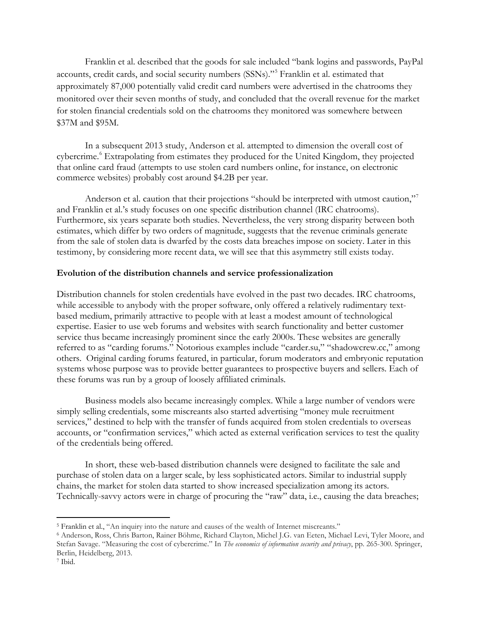Franklin et al. described that the goods for sale included "bank logins and passwords, PayPal accounts, credit cards, and social security numbers (SSNs)."[5](#page-2-0) Franklin et al. estimated that approximately 87,000 potentially valid credit card numbers were advertised in the chatrooms they monitored over their seven months of study, and concluded that the overall revenue for the market for stolen financial credentials sold on the chatrooms they monitored was somewhere between \$37M and \$95M.

In a subsequent 2013 study, Anderson et al. attempted to dimension the overall cost of cybercrime.<sup>[6](#page-2-1)</sup> Extrapolating from estimates they produced for the United Kingdom, they projected that online card fraud (attempts to use stolen card numbers online, for instance, on electronic commerce websites) probably cost around \$4.2B per year.

Anderson et al. caution that their projections "should be interpreted with utmost caution,"<sup>[7](#page-2-2)</sup> and Franklin et al.'s study focuses on one specific distribution channel (IRC chatrooms). Furthermore, six years separate both studies. Nevertheless, the very strong disparity between both estimates, which differ by two orders of magnitude, suggests that the revenue criminals generate from the sale of stolen data is dwarfed by the costs data breaches impose on society. Later in this testimony, by considering more recent data, we will see that this asymmetry still exists today.

#### **Evolution of the distribution channels and service professionalization**

Distribution channels for stolen credentials have evolved in the past two decades. IRC chatrooms, while accessible to anybody with the proper software, only offered a relatively rudimentary textbased medium, primarily attractive to people with at least a modest amount of technological expertise. Easier to use web forums and websites with search functionality and better customer service thus became increasingly prominent since the early 2000s. These websites are generally referred to as "carding forums." Notorious examples include "carder.su," "shadowcrew.cc," among others. Original carding forums featured, in particular, forum moderators and embryonic reputation systems whose purpose was to provide better guarantees to prospective buyers and sellers. Each of these forums was run by a group of loosely affiliated criminals.

Business models also became increasingly complex. While a large number of vendors were simply selling credentials, some miscreants also started advertising "money mule recruitment services," destined to help with the transfer of funds acquired from stolen credentials to overseas accounts, or "confirmation services," which acted as external verification services to test the quality of the credentials being offered.

In short, these web-based distribution channels were designed to facilitate the sale and purchase of stolen data on a larger scale, by less sophisticated actors. Similar to industrial supply chains, the market for stolen data started to show increased specialization among its actors. Technically-savvy actors were in charge of procuring the "raw" data, i.e., causing the data breaches;

<span id="page-2-0"></span> $\overline{a}$ <sup>5</sup> Franklin et al., "An inquiry into the nature and causes of the wealth of Internet miscreants."

<span id="page-2-1"></span><sup>6</sup> Anderson, Ross, Chris Barton, Rainer Böhme, Richard Clayton, Michel J.G. van Eeten, Michael Levi, Tyler Moore, and Stefan Savage. "Measuring the cost of cybercrime." In *The economics of information security and privacy*, pp. 265-300. Springer, Berlin, Heidelberg, 2013.

<span id="page-2-2"></span><sup>7</sup> Ibid.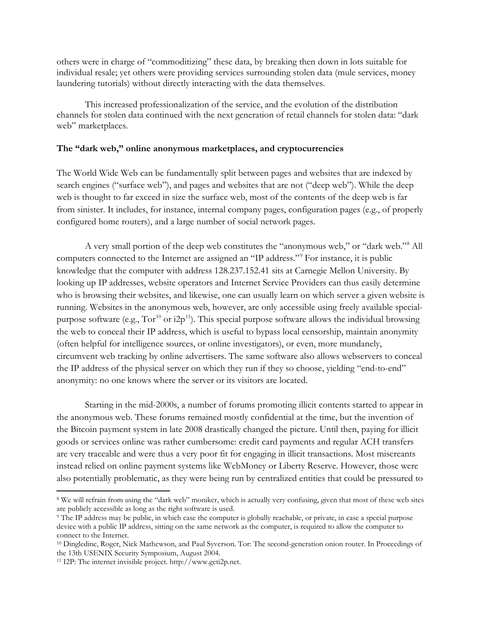others were in charge of "commoditizing" these data, by breaking then down in lots suitable for individual resale; yet others were providing services surrounding stolen data (mule services, money laundering tutorials) without directly interacting with the data themselves.

This increased professionalization of the service, and the evolution of the distribution channels for stolen data continued with the next generation of retail channels for stolen data: "dark web" marketplaces.

#### **The "dark web," online anonymous marketplaces, and cryptocurrencies**

The World Wide Web can be fundamentally split between pages and websites that are indexed by search engines ("surface web"), and pages and websites that are not ("deep web"). While the deep web is thought to far exceed in size the surface web, most of the contents of the deep web is far from sinister. It includes, for instance, internal company pages, configuration pages (e.g., of properly configured home routers), and a large number of social network pages.

A very small portion of the deep web constitutes the "anonymous web," or "dark web."[8](#page-3-0) All computers connected to the Internet are assigned an "IP address."[9](#page-3-1) For instance, it is public knowledge that the computer with address 128.237.152.41 sits at Carnegie Mellon University. By looking up IP addresses, website operators and Internet Service Providers can thus easily determine who is browsing their websites, and likewise, one can usually learn on which server a given website is running. Websites in the anonymous web, however, are only accessible using freely available specialpurpose software (e.g.,  $Tor^{10}$  $Tor^{10}$  $Tor^{10}$  or  $i2p^{11}$  $i2p^{11}$  $i2p^{11}$ ). This special purpose software allows the individual browsing the web to conceal their IP address, which is useful to bypass local censorship, maintain anonymity (often helpful for intelligence sources, or online investigators), or even, more mundanely, circumvent web tracking by online advertisers. The same software also allows webservers to conceal the IP address of the physical server on which they run if they so choose, yielding "end-to-end" anonymity: no one knows where the server or its visitors are located.

Starting in the mid-2000s, a number of forums promoting illicit contents started to appear in the anonymous web. These forums remained mostly confidential at the time, but the invention of the Bitcoin payment system in late 2008 drastically changed the picture. Until then, paying for illicit goods or services online was rather cumbersome: credit card payments and regular ACH transfers are very traceable and were thus a very poor fit for engaging in illicit transactions. Most miscreants instead relied on online payment systems like WebMoney or Liberty Reserve. However, those were also potentially problematic, as they were being run by centralized entities that could be pressured to

<span id="page-3-0"></span><sup>&</sup>lt;sup>8</sup> We will refrain from using the "dark web" moniker, which is actually very confusing, given that most of these web sites are publicly accessible as long as the right software is used.

<span id="page-3-1"></span><sup>9</sup> The IP address may be public, in which case the computer is globally reachable, or private, in case a special purpose device with a public IP address, sitting on the same network as the computer, is required to allow the computer to connect to the Internet.

<span id="page-3-2"></span><sup>10</sup> Dingledine, Roger, Nick Mathewson, and Paul Syverson. Tor: The second-generation onion router. In Proceedings of the 13th USENIX Security Symposium, August 2004.

<span id="page-3-3"></span><sup>11</sup> I2P: The internet invisible project. http://www.geti2p.net.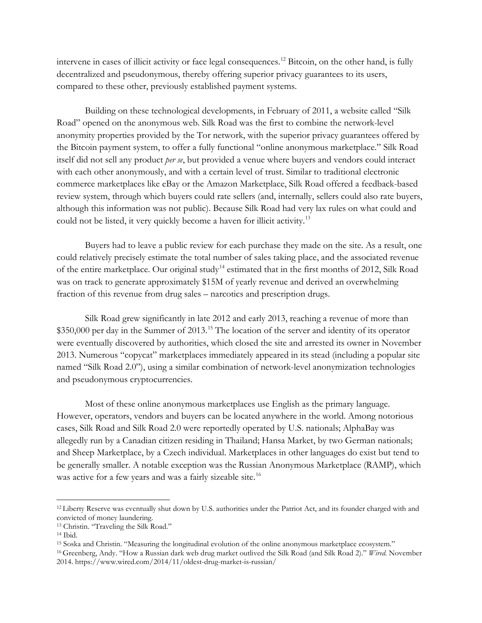intervene in cases of illicit activity or face legal consequences. [12](#page-4-0) Bitcoin, on the other hand, is fully decentralized and pseudonymous, thereby offering superior privacy guarantees to its users, compared to these other, previously established payment systems.

Building on these technological developments, in February of 2011, a website called "Silk Road" opened on the anonymous web. Silk Road was the first to combine the network-level anonymity properties provided by the Tor network, with the superior privacy guarantees offered by the Bitcoin payment system, to offer a fully functional "online anonymous marketplace." Silk Road itself did not sell any product *per se*, but provided a venue where buyers and vendors could interact with each other anonymously, and with a certain level of trust. Similar to traditional electronic commerce marketplaces like eBay or the Amazon Marketplace, Silk Road offered a feedback-based review system, through which buyers could rate sellers (and, internally, sellers could also rate buyers, although this information was not public). Because Silk Road had very lax rules on what could and could not be listed, it very quickly become a haven for illicit activity.[13](#page-4-1)

Buyers had to leave a public review for each purchase they made on the site. As a result, one could relatively precisely estimate the total number of sales taking place, and the associated revenue of the entire marketplace. Our original study<sup>[14](#page-4-2)</sup> estimated that in the first months of 2012, Silk Road was on track to generate approximately \$15M of yearly revenue and derived an overwhelming fraction of this revenue from drug sales – narcotics and prescription drugs.

Silk Road grew significantly in late 2012 and early 2013, reaching a revenue of more than \$350,000 per day in the Summer of 2013.<sup>[15](#page-4-3)</sup> The location of the server and identity of its operator were eventually discovered by authorities, which closed the site and arrested its owner in November 2013. Numerous "copycat" marketplaces immediately appeared in its stead (including a popular site named "Silk Road 2.0"), using a similar combination of network-level anonymization technologies and pseudonymous cryptocurrencies.

Most of these online anonymous marketplaces use English as the primary language. However, operators, vendors and buyers can be located anywhere in the world. Among notorious cases, Silk Road and Silk Road 2.0 were reportedly operated by U.S. nationals; AlphaBay was allegedly run by a Canadian citizen residing in Thailand; Hansa Market, by two German nationals; and Sheep Marketplace, by a Czech individual. Marketplaces in other languages do exist but tend to be generally smaller. A notable exception was the Russian Anonymous Marketplace (RAMP), which was active for a few years and was a fairly sizeable site.<sup>[16](#page-4-4)</sup>

<span id="page-4-0"></span><sup>&</sup>lt;sup>12</sup> Liberty Reserve was eventually shut down by U.S. authorities under the Patriot Act, and its founder charged with and convicted of money laundering.

<span id="page-4-1"></span><sup>13</sup> Christin. "Traveling the Silk Road."

<span id="page-4-2"></span><sup>14</sup> Ibid.

<span id="page-4-3"></span><sup>15</sup> Soska and Christin. "Measuring the longitudinal evolution of the online anonymous marketplace ecosystem."

<span id="page-4-4"></span><sup>16</sup> Greenberg, Andy. "How a Russian dark web drug market outlived the Silk Road (and Silk Road 2)." *Wired.* November 2014. https://www.wired.com/2014/11/oldest-drug-market-is-russian/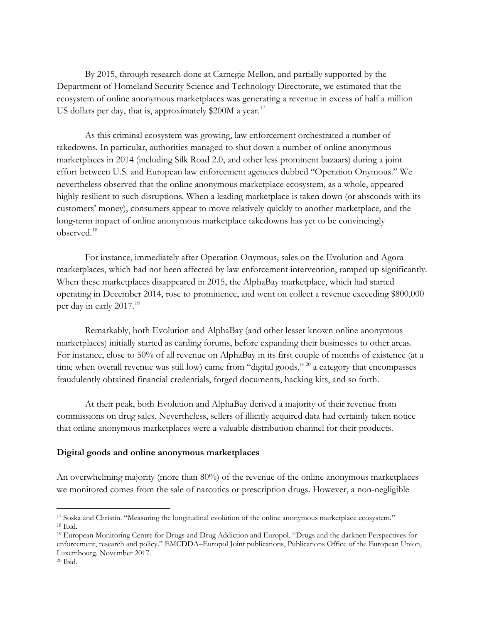By 2015, through research done at Carnegie Mellon, and partially supported by the Department of Homeland Security Science and Technology Directorate, we estimated that the ecosystem of online anonymous marketplaces was generating a revenue in excess of half a million US dollars per day, that is, approximately  $$200M$  a year.<sup>[17](#page-5-0)</sup>

As this criminal ecosystem was growing, law enforcement orchestrated a number of takedowns. In particular, authorities managed to shut down a number of online anonymous marketplaces in 2014 (including Silk Road 2.0, and other less prominent bazaars) during a joint effort between U.S. and European law enforcement agencies dubbed "Operation Onymous." We nevertheless observed that the online anonymous marketplace ecosystem, as a whole, appeared highly resilient to such disruptions. When a leading marketplace is taken down (or absconds with its customers' money), consumers appear to move relatively quickly to another marketplace, and the long-term impact of online anonymous marketplace takedowns has yet to be convincingly observed.[18](#page-5-1)

For instance, immediately after Operation Onymous, sales on the Evolution and Agora marketplaces, which had not been affected by law enforcement intervention, ramped up significantly. When these marketplaces disappeared in 2015, the AlphaBay marketplace, which had started operating in December 2014, rose to prominence, and went on collect a revenue exceeding \$800,000 per day in early 2017.<sup>[19](#page-5-2)</sup>

Remarkably, both Evolution and AlphaBay (and other lesser known online anonymous marketplaces) initially started as carding forums, before expanding their businesses to other areas. For instance, close to 50% of all revenue on AlphaBay in its first couple of months of existence (at a time when overall revenue was still low) came from "digital goods,"  $^{20}$  $^{20}$  $^{20}$  a category that encompasses fraudulently obtained financial credentials, forged documents, hacking kits, and so forth.

At their peak, both Evolution and AlphaBay derived a majority of their revenue from commissions on drug sales. Nevertheless, sellers of illicitly acquired data had certainly taken notice that online anonymous marketplaces were a valuable distribution channel for their products.

#### **Digital goods and online anonymous marketplaces**

An overwhelming majority (more than 80%) of the revenue of the online anonymous marketplaces we monitored comes from the sale of narcotics or prescription drugs. However, a non-negligible

<span id="page-5-0"></span> $\overline{a}$ <sup>17</sup> Soska and Christin. "Measuring the longitudinal evolution of the online anonymous marketplace ecosystem." <sup>18</sup> Ibid.

<span id="page-5-2"></span><span id="page-5-1"></span><sup>19</sup> European Monitoring Centre for Drugs and Drug Addiction and Europol. "Drugs and the darknet: Perspectives for enforcement, research and policy." EMCDDA–Europol Joint publications, Publications Office of the European Union, Luxembourg. November 2017.

<span id="page-5-3"></span><sup>20</sup> Ibid.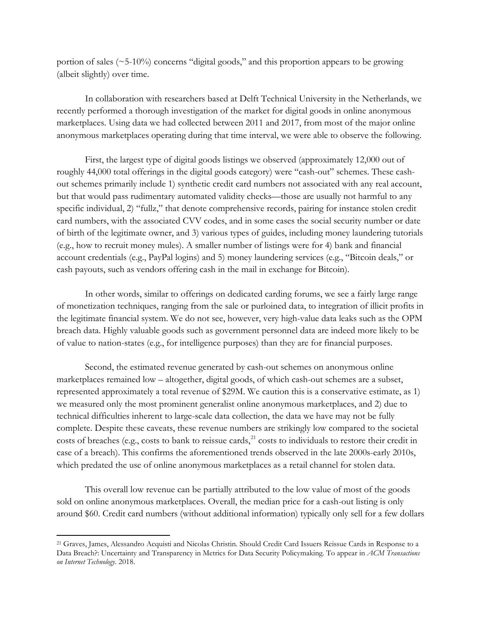portion of sales  $(\sim 5-10\%)$  concerns "digital goods," and this proportion appears to be growing (albeit slightly) over time.

In collaboration with researchers based at Delft Technical University in the Netherlands, we recently performed a thorough investigation of the market for digital goods in online anonymous marketplaces. Using data we had collected between 2011 and 2017, from most of the major online anonymous marketplaces operating during that time interval, we were able to observe the following.

First, the largest type of digital goods listings we observed (approximately 12,000 out of roughly 44,000 total offerings in the digital goods category) were "cash-out" schemes. These cashout schemes primarily include 1) synthetic credit card numbers not associated with any real account, but that would pass rudimentary automated validity checks—those are usually not harmful to any specific individual, 2) "fullz," that denote comprehensive records, pairing for instance stolen credit card numbers, with the associated CVV codes, and in some cases the social security number or date of birth of the legitimate owner, and 3) various types of guides, including money laundering tutorials (e.g., how to recruit money mules). A smaller number of listings were for 4) bank and financial account credentials (e.g., PayPal logins) and 5) money laundering services (e.g., "Bitcoin deals," or cash payouts, such as vendors offering cash in the mail in exchange for Bitcoin).

In other words, similar to offerings on dedicated carding forums, we see a fairly large range of monetization techniques, ranging from the sale or purloined data, to integration of illicit profits in the legitimate financial system. We do not see, however, very high-value data leaks such as the OPM breach data. Highly valuable goods such as government personnel data are indeed more likely to be of value to nation-states (e.g., for intelligence purposes) than they are for financial purposes.

Second, the estimated revenue generated by cash-out schemes on anonymous online marketplaces remained low – altogether, digital goods, of which cash-out schemes are a subset, represented approximately a total revenue of \$29M. We caution this is a conservative estimate, as 1) we measured only the most prominent generalist online anonymous marketplaces, and 2) due to technical difficulties inherent to large-scale data collection, the data we have may not be fully complete. Despite these caveats, these revenue numbers are strikingly low compared to the societal costs of breaches (e.g., costs to bank to reissue cards, $^{21}$  $^{21}$  $^{21}$  costs to individuals to restore their credit in case of a breach). This confirms the aforementioned trends observed in the late 2000s-early 2010s, which predated the use of online anonymous marketplaces as a retail channel for stolen data.

This overall low revenue can be partially attributed to the low value of most of the goods sold on online anonymous marketplaces. Overall, the median price for a cash-out listing is only around \$60. Credit card numbers (without additional information) typically only sell for a few dollars

<span id="page-6-0"></span><sup>21</sup> Graves, James, Alessandro Acquisti and Nicolas Christin. Should Credit Card Issuers Reissue Cards in Response to a Data Breach?: Uncertainty and Transparency in Metrics for Data Security Policymaking. To appear in *ACM Transactions on Internet Technology*. 2018.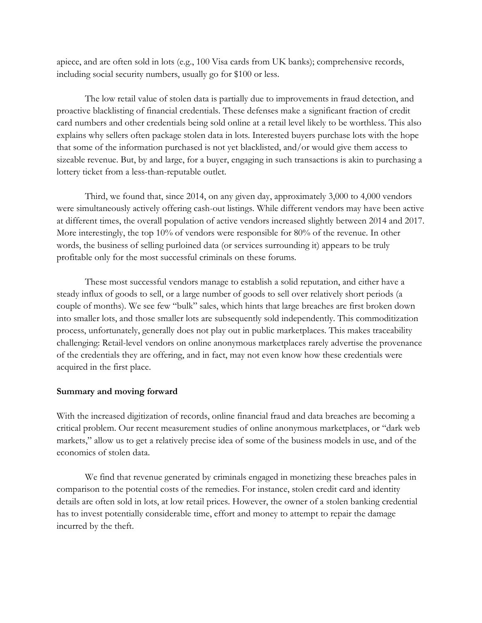apiece, and are often sold in lots (e.g., 100 Visa cards from UK banks); comprehensive records, including social security numbers, usually go for \$100 or less.

The low retail value of stolen data is partially due to improvements in fraud detection, and proactive blacklisting of financial credentials. These defenses make a significant fraction of credit card numbers and other credentials being sold online at a retail level likely to be worthless. This also explains why sellers often package stolen data in lots. Interested buyers purchase lots with the hope that some of the information purchased is not yet blacklisted, and/or would give them access to sizeable revenue. But, by and large, for a buyer, engaging in such transactions is akin to purchasing a lottery ticket from a less-than-reputable outlet.

Third, we found that, since 2014, on any given day, approximately 3,000 to 4,000 vendors were simultaneously actively offering cash-out listings. While different vendors may have been active at different times, the overall population of active vendors increased slightly between 2014 and 2017. More interestingly, the top 10% of vendors were responsible for 80% of the revenue. In other words, the business of selling purloined data (or services surrounding it) appears to be truly profitable only for the most successful criminals on these forums.

These most successful vendors manage to establish a solid reputation, and either have a steady influx of goods to sell, or a large number of goods to sell over relatively short periods (a couple of months). We see few "bulk" sales, which hints that large breaches are first broken down into smaller lots, and those smaller lots are subsequently sold independently. This commoditization process, unfortunately, generally does not play out in public marketplaces. This makes traceability challenging: Retail-level vendors on online anonymous marketplaces rarely advertise the provenance of the credentials they are offering, and in fact, may not even know how these credentials were acquired in the first place.

### **Summary and moving forward**

With the increased digitization of records, online financial fraud and data breaches are becoming a critical problem. Our recent measurement studies of online anonymous marketplaces, or "dark web markets," allow us to get a relatively precise idea of some of the business models in use, and of the economics of stolen data.

We find that revenue generated by criminals engaged in monetizing these breaches pales in comparison to the potential costs of the remedies. For instance, stolen credit card and identity details are often sold in lots, at low retail prices. However, the owner of a stolen banking credential has to invest potentially considerable time, effort and money to attempt to repair the damage incurred by the theft.